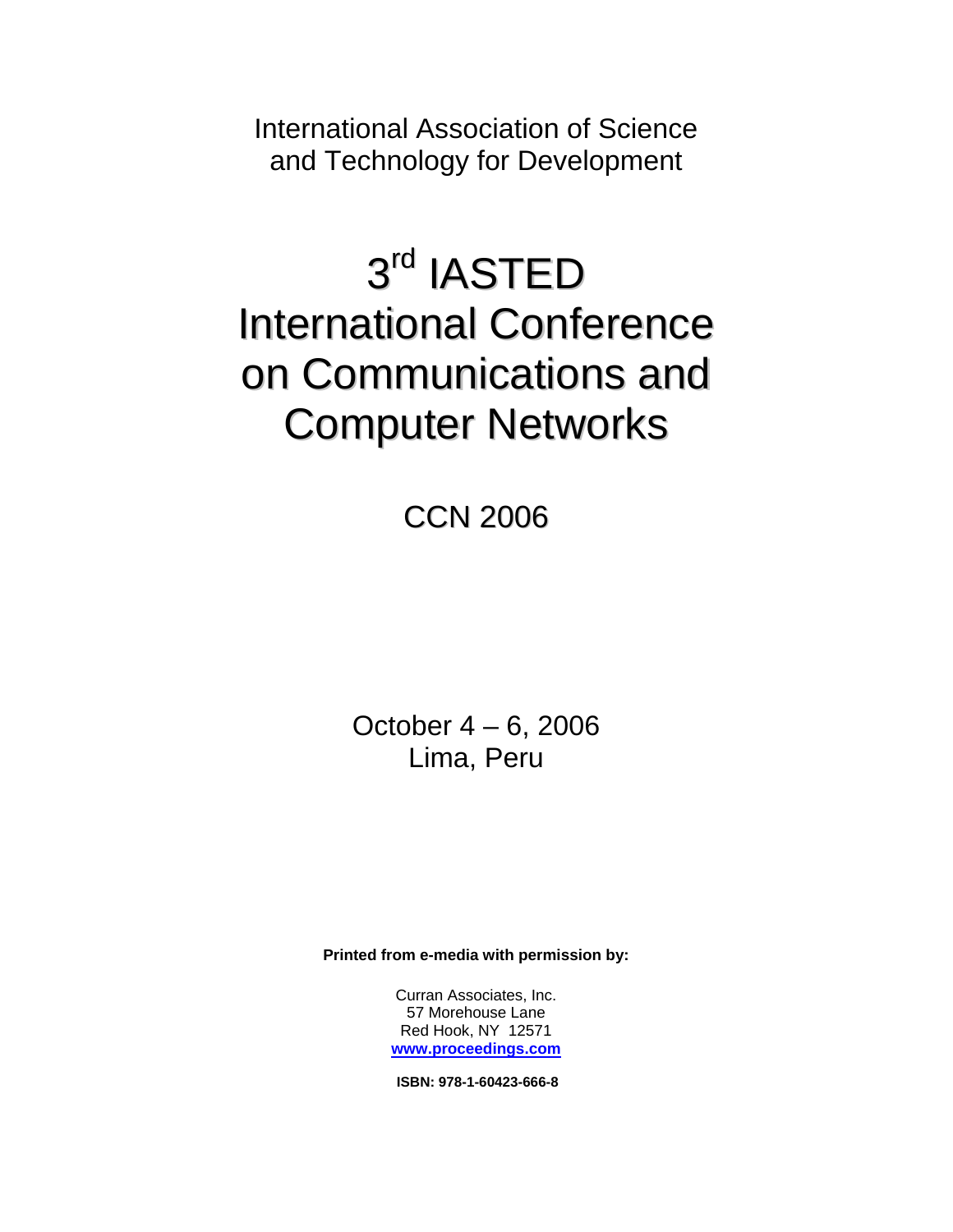International Association of Science and Technology for Development

# 3rd IASTED International Conference on Communications and Computer Networks

CCN 2006

October 4 – 6, 2006 Lima, Peru

**Printed from e-media with permission by:** 

Curran Associates, Inc. 57 Morehouse Lane Red Hook, NY 12571 **[www.proceedings.com](http://www.proceedings.com/)**

**ISBN: 978-1-60423-666-8**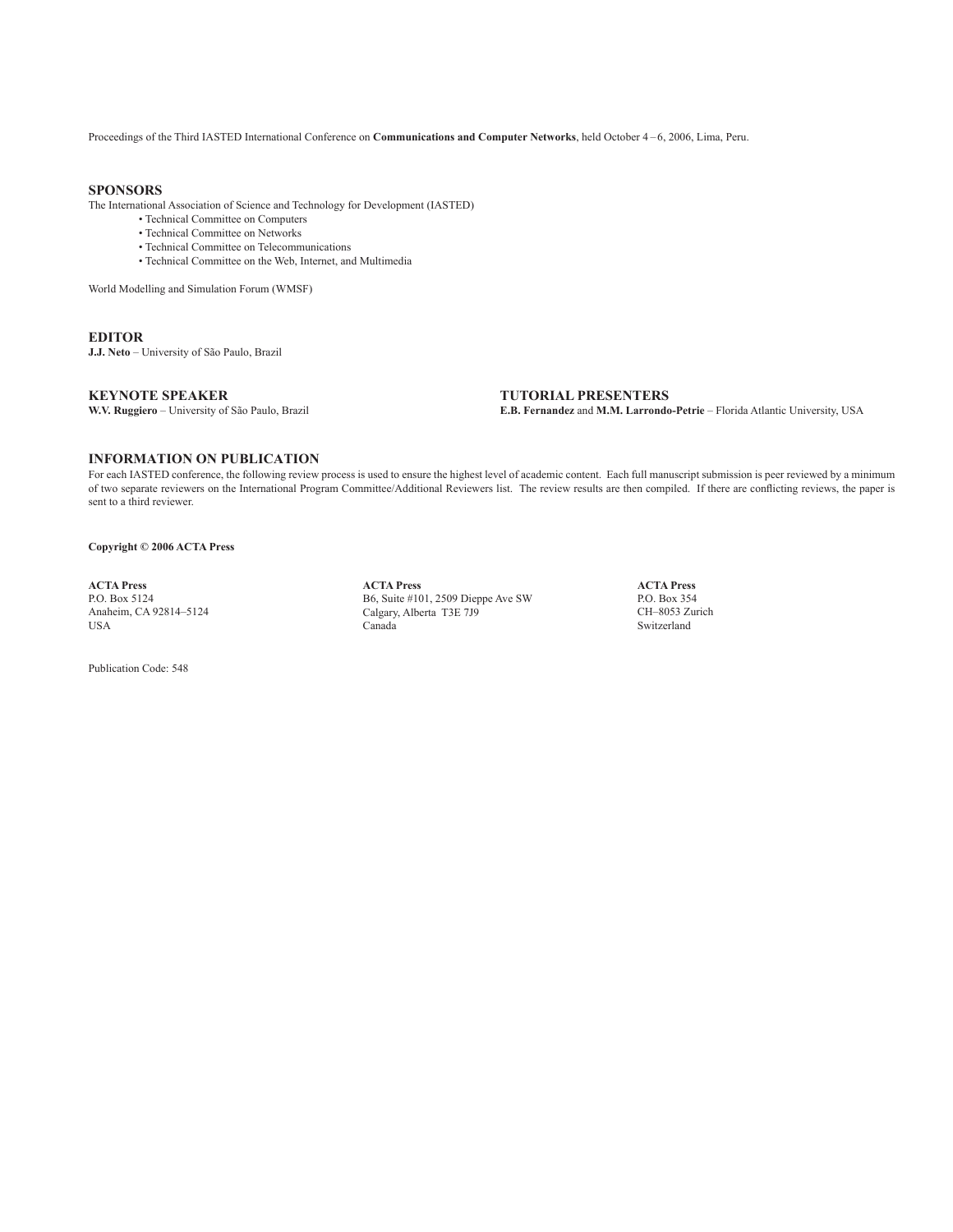Proceedings of the Third IASTED International Conference on **Communications and Computer Networks**, held October 4 – 6, 2006, Lima, Peru.

### **Sponsors**

The International Association of Science and Technology for Development (IASTED)

- Technical Committee on Computers
- Technical Committee on Networks
- Technical Committee on Telecommunications
- Technical Committee on the Web, Internet, and Multimedia

World Modelling and Simulation Forum (WMSF)

### **editor**

**J.J. Neto** – University of São Paulo, Brazil

### **KEYNOTE SPEAKER**

**W.V. Ruggiero** – University of São Paulo, Brazil

**tutorial presenters E.B. Fernandez** and **M.M. Larrondo-Petrie** – Florida Atlantic University, USA

### **INFORMATION ON PUBLICATION**

For each IASTED conference, the following review process is used to ensure the highest level of academic content. Each full manuscript submission is peer reviewed by a minimum of two separate reviewers on the International Program Committee/Additional Reviewers list. The review results are then compiled. If there are conflicting reviews, the paper is sent to a third reviewer.

**Copyright © 2006 ACTA Press**

**ACTA Press** P.O. Box 5124 Anaheim, CA 92814–5124 USA

Publication Code: 548

**ACTA Press** B6, Suite #101, 2509 Dieppe Ave SW Calgary, Alberta T3E 7J9 Canada

**ACTA Press** P.O. Box 354 CH–8053 Zurich Switzerland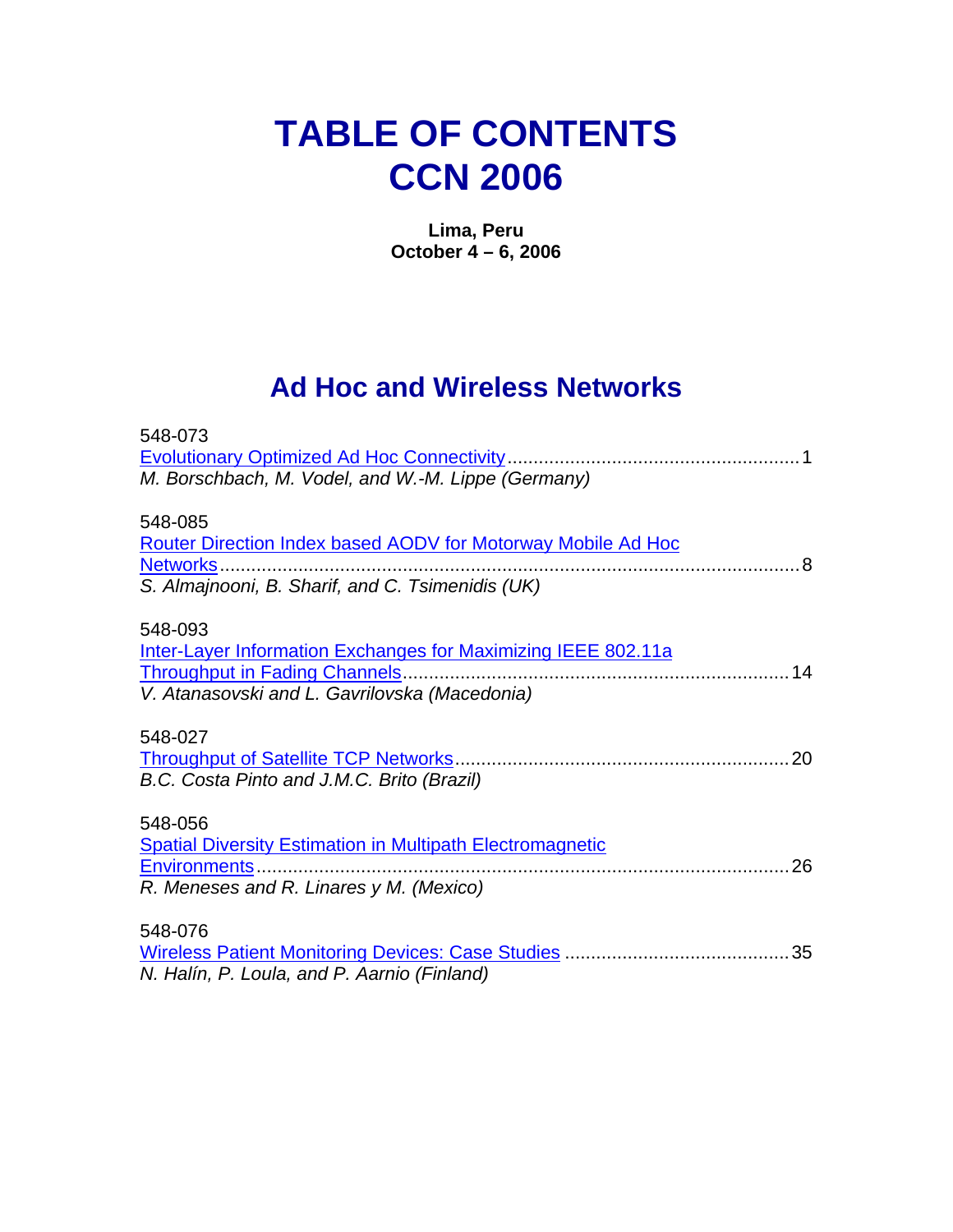## **TABLE OF CONTENTS CCN 2006**

**Lima, Peru October 4 – 6, 2006** 

### **Ad Hoc and Wireless Networks**

| 548-073                                                             |
|---------------------------------------------------------------------|
|                                                                     |
| M. Borschbach, M. Vodel, and W.-M. Lippe (Germany)                  |
|                                                                     |
| 548-085                                                             |
| <b>Router Direction Index based AODV for Motorway Mobile Ad Hoc</b> |
| Networks.                                                           |
| S. Almajnooni, B. Sharif, and C. Tsimenidis (UK)                    |
|                                                                     |
| 548-093                                                             |
| Inter-Layer Information Exchanges for Maximizing IEEE 802.11a       |
| 14                                                                  |
| V. Atanasovski and L. Gavrilovska (Macedonia)                       |
|                                                                     |
| 548-027                                                             |
| 20                                                                  |
| B.C. Costa Pinto and J.M.C. Brito (Brazil)                          |
|                                                                     |
| 548-056                                                             |
| <b>Spatial Diversity Estimation in Multipath Electromagnetic</b>    |
| 26<br>Environments                                                  |
| R. Meneses and R. Linares y M. (Mexico)                             |
| 548-076                                                             |
|                                                                     |
|                                                                     |
| N. Halín, P. Loula, and P. Aarnio (Finland)                         |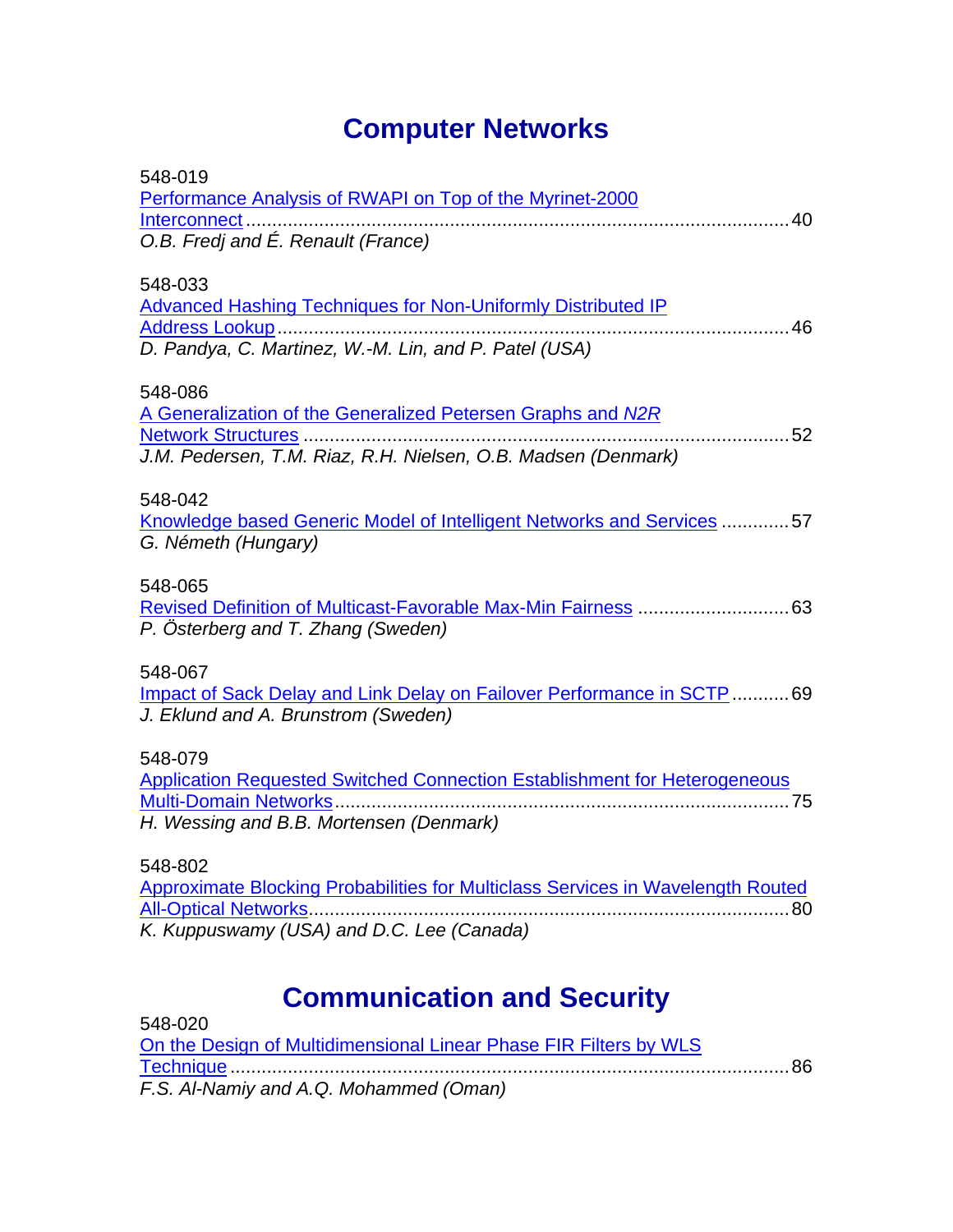## **Computer Networks**

| 548-019<br>Performance Analysis of RWAPI on Top of the Myrinet-2000<br>O.B. Fredj and É. Renault (France)                               |
|-----------------------------------------------------------------------------------------------------------------------------------------|
| 548-033<br><b>Advanced Hashing Techniques for Non-Uniformly Distributed IP</b><br>D. Pandya, C. Martinez, W.-M. Lin, and P. Patel (USA) |
| 548-086<br>A Generalization of the Generalized Petersen Graphs and N2R<br>J.M. Pedersen, T.M. Riaz, R.H. Nielsen, O.B. Madsen (Denmark) |
| 548-042<br>Knowledge based Generic Model of Intelligent Networks and Services 57<br>G. Németh (Hungary)                                 |
| 548-065<br>P. Österberg and T. Zhang (Sweden)                                                                                           |
| 548-067<br>Impact of Sack Delay and Link Delay on Failover Performance in SCTP69<br>J. Eklund and A. Brunstrom (Sweden)                 |
| 548-079<br><b>Application Requested Switched Connection Establishment for Heterogeneous</b><br>H. Wessing and B.B. Mortensen (Denmark)  |
| 548-802<br>Approximate Blocking Probabilities for Multiclass Services in Wavelength Routed                                              |

*K. Kuppuswamy (USA) and D.C. Lee (Canada)* 

## **Communication and Security**

| 548-020                                                           |  |
|-------------------------------------------------------------------|--|
| On the Design of Multidimensional Linear Phase FIR Filters by WLS |  |
|                                                                   |  |
| F.S. Al-Namiy and A.Q. Mohammed (Oman)                            |  |